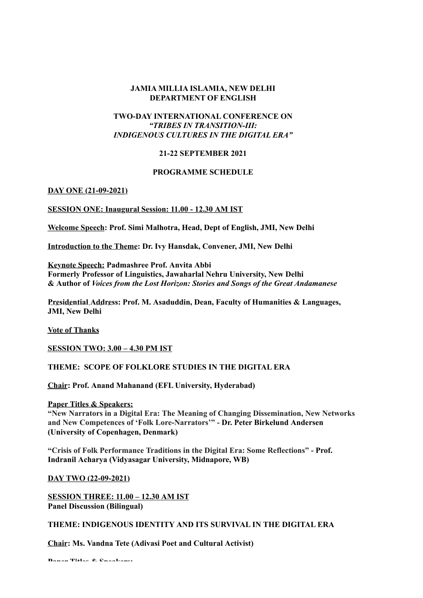### **JAMIA MILLIA ISLAMIA, NEW DELHI DEPARTMENT OF ENGLISH**

# **TWO-DAY INTERNATIONAL CONFERENCE ON** *"TRIBES IN TRANSITION-III: INDIGENOUS CULTURES IN THE DIGITAL ERA"*

## **21-22 SEPTEMBER 2021**

### **PROGRAMME SCHEDULE**

### **DAY ONE (21-09-2021)**

## **SESSION ONE: Inaugural Session: 11.00 - 12.30 AM IST**

**Welcome Speech: Prof. Simi Malhotra, Head, Dept of English, JMI, New Delhi**

**Introduction to the Theme: Dr. Ivy Hansdak, Convener, JMI, New Delhi**

**Keynote Speech: Padmashree Prof. Anvita Abbi Formerly Professor of Linguistics, Jawaharlal Nehru University, New Delhi & Author of** *Voices from the Lost Horizon: Stories and Songs of the Great Andamanese*

**Presidential Address: Prof. M. Asaduddin, Dean, Faculty of Humanities & Languages, JMI, New Delhi**

**Vote of Thanks**

**SESSION TWO: 3.00 – 4.30 PM IST**

### **THEME: SCOPE OF FOLKLORE STUDIES IN THE DIGITAL ERA**

**Chair: Prof. Anand Mahanand (EFL University, Hyderabad)**

**Paper Titles & Speakers:**

**"New Narrators in a Digital Era: The Meaning of Changing Dissemination, New Networks and New Competences of 'Folk Lore-Narrators'" - Dr. Peter Birkelund Andersen (University of Copenhagen, Denmark)**

**"Crisis of Folk Performance Traditions in the Digital Era: Some Reflections" - Prof. Indranil Acharya (Vidyasagar University, Midnapore, WB)**

**DAY TWO (22-09-2021)**

**SESSION THREE: 11.00 – 12.30 AM IST Panel Discussion (Bilingual)**

**THEME: INDIGENOUS IDENTITY AND ITS SURVIVAL IN THE DIGITAL ERA**

**Chair: Ms. Vandna Tete (Adivasi Poet and Cultural Activist)**

**Paper Titles & Speakers:**